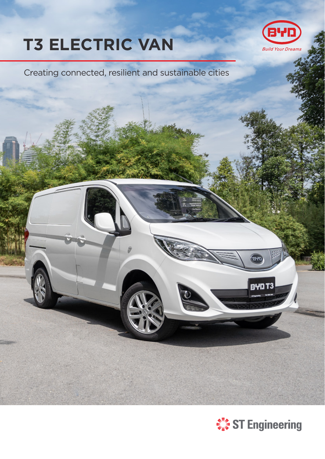# **T3 ELECTRIC VAN**



Creating connected, resilient and sustainable cities



**BAL** 

**BYD T3**